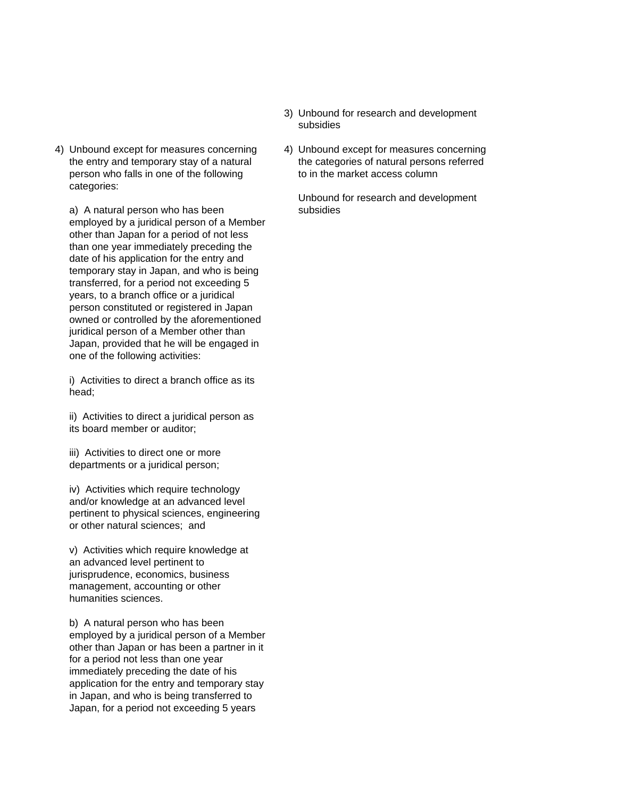4) Unbound except for measures concerning 4) Unbound except for measures concerning person who falls in one of the following to in the market access column categories:

a) A natural person who has been subsidies employed by a juridical person of a Member other than Japan for a period of not less than one year immediately preceding the date of his application for the entry and temporary stay in Japan, and who is being transferred, for a period not exceeding 5 years, to a branch office or a juridical person constituted or registered in Japan owned or controlled by the aforementioned juridical person of a Member other than Japan, provided that he will be engaged in one of the following activities:

i) Activities to direct a branch office as its head;

ii) Activities to direct a juridical person as its board member or auditor;

iii) Activities to direct one or more departments or a juridical person;

iv) Activities which require technology and/or knowledge at an advanced level pertinent to physical sciences, engineering or other natural sciences; and

v) Activities which require knowledge at an advanced level pertinent to jurisprudence, economics, business management, accounting or other humanities sciences.

b) A natural person who has been employed by a juridical person of a Member other than Japan or has been a partner in it for a period not less than one year immediately preceding the date of his application for the entry and temporary stay in Japan, and who is being transferred to Japan, for a period not exceeding 5 years

- 3) Unbound for research and development subsidies
- the entry and temporary stay of a natural the categories of natural persons referred

Unbound for research and development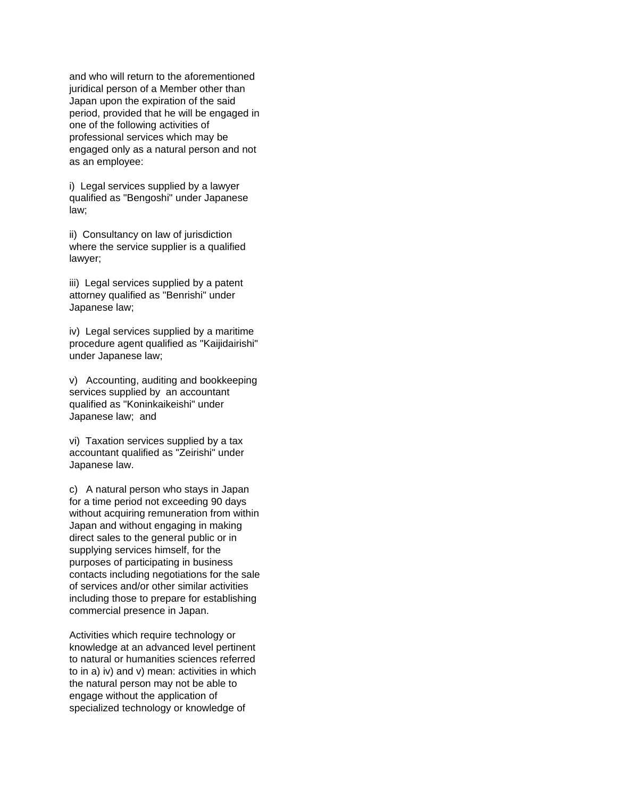and who will return to the aforementioned juridical person of a Member other than Japan upon the expiration of the said period, provided that he will be engaged in one of the following activities of professional services which may be engaged only as a natural person and not as an employee:

i) Legal services supplied by a lawyer qualified as "Bengoshi" under Japanese law;

ii) Consultancy on law of jurisdiction where the service supplier is a qualified lawyer;

iii) Legal services supplied by a patent attorney qualified as "Benrishi" under Japanese law;

iv) Legal services supplied by a maritime procedure agent qualified as "Kaijidairishi" under Japanese law;

v) Accounting, auditing and bookkeeping services supplied by an accountant qualified as "Koninkaikeishi" under Japanese law; and

vi) Taxation services supplied by a tax accountant qualified as "Zeirishi" under Japanese law.

c) A natural person who stays in Japan for a time period not exceeding 90 days without acquiring remuneration from within Japan and without engaging in making direct sales to the general public or in supplying services himself, for the purposes of participating in business contacts including negotiations for the sale of services and/or other similar activities including those to prepare for establishing commercial presence in Japan.

Activities which require technology or knowledge at an advanced level pertinent to natural or humanities sciences referred to in a) iv) and v) mean: activities in which the natural person may not be able to engage without the application of specialized technology or knowledge of